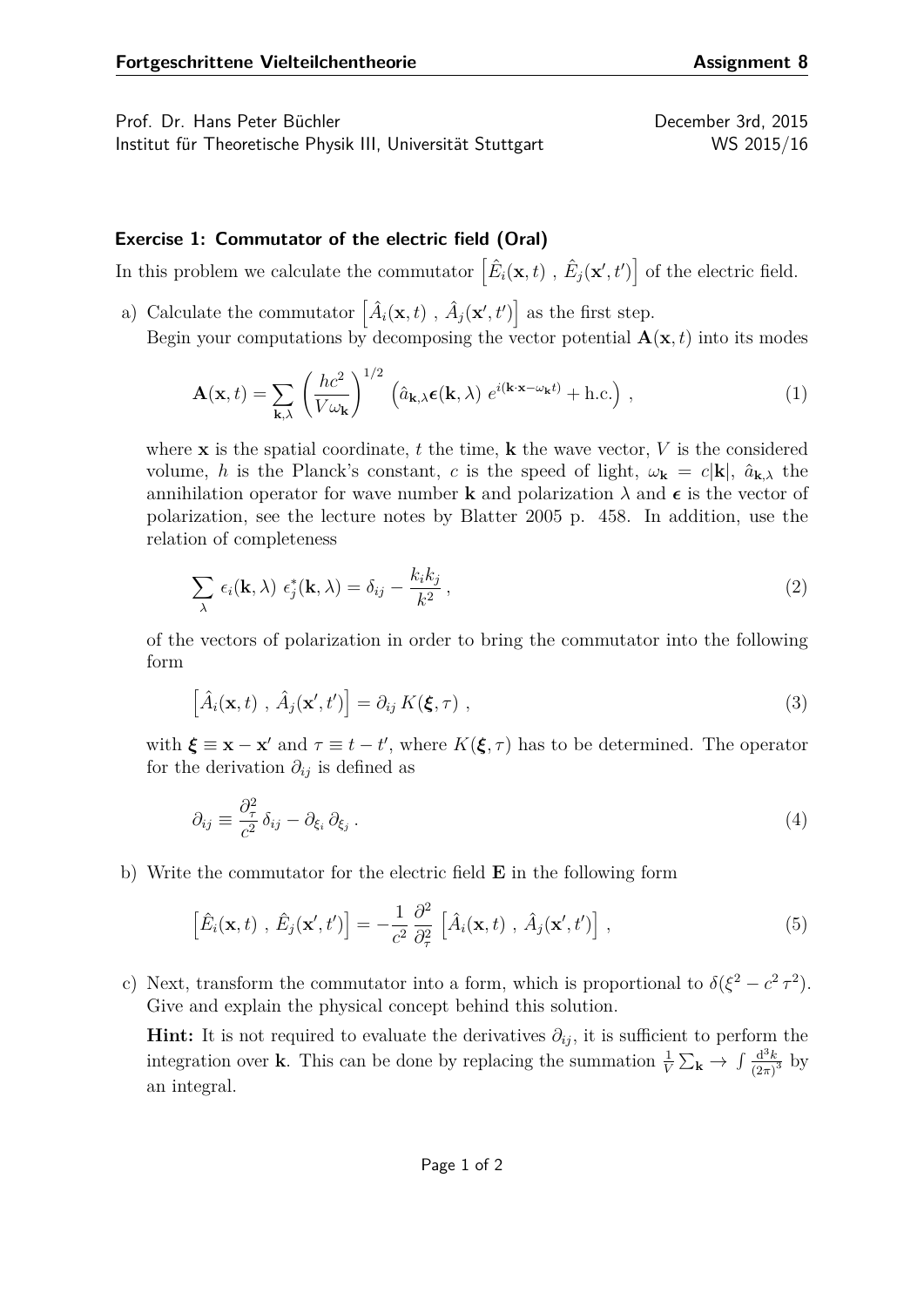Prof. Dr. Hans Peter Büchler December 3rd, 2015

Institut für Theoretische Physik III, Universität Stuttgart WS 2015/16

## **Exercise 1: Commutator of the electric field (Oral)**

In this problem we calculate the commutator  $\left[\hat{E}_i(\mathbf{x},t), \hat{E}_j(\mathbf{x}',t')\right]$  of the electric field.

a) Calculate the commutator  $\left[\hat{A}_i(\mathbf{x},t), \hat{A}_j(\mathbf{x}',t')\right]$  as the first step. Begin your computations by decomposing the vector potential  $\mathbf{A}(\mathbf{x},t)$  into its modes

$$
\mathbf{A}(\mathbf{x},t) = \sum_{\mathbf{k},\lambda} \left(\frac{hc^2}{V\omega_{\mathbf{k}}}\right)^{1/2} \left(\hat{a}_{\mathbf{k},\lambda}\boldsymbol{\epsilon}(\mathbf{k},\lambda) e^{i(\mathbf{k}\cdot\mathbf{x}-\omega_{\mathbf{k}}t)} + \text{h.c.}\right),\tag{1}
$$

where **x** is the spatial coordinate,  $t$  the time,  $\bf{k}$  the wave vector,  $V$  is the considered volume, *h* is the Planck's constant, *c* is the speed of light,  $\omega_{\mathbf{k}} = c|\mathbf{k}|$ ,  $\hat{a}_{\mathbf{k},\lambda}$  the annihilation operator for wave number **k** and polarization  $\lambda$  and  $\epsilon$  is the vector of polarization, see the lecture notes by Blatter 2005 p. 458. In addition, use the relation of completeness

$$
\sum_{\lambda} \epsilon_i(\mathbf{k}, \lambda) \epsilon_j^*(\mathbf{k}, \lambda) = \delta_{ij} - \frac{k_i k_j}{k^2}, \qquad (2)
$$

of the vectors of polarization in order to bring the commutator into the following form

$$
\left[\hat{A}_i(\mathbf{x},t), \hat{A}_j(\mathbf{x}',t')\right] = \partial_{ij} K(\boldsymbol{\xi},\tau) ,
$$
\n(3)

with  $\boldsymbol{\xi} \equiv \mathbf{x} - \mathbf{x}'$  and  $\tau \equiv t - t'$ , where  $K(\boldsymbol{\xi}, \tau)$  has to be determined. The operator for the derivation  $\partial_{ij}$  is defined as

$$
\partial_{ij} \equiv \frac{\partial_{\tau}^{2}}{c^{2}} \delta_{ij} - \partial_{\xi_{i}} \partial_{\xi_{j}}.
$$
\n(4)

b) Write the commutator for the electric field **E** in the following form

$$
\left[\hat{E}_i(\mathbf{x},t),\,\hat{E}_j(\mathbf{x}',t')\right] = -\frac{1}{c^2} \frac{\partial^2}{\partial_\tau^2} \left[\hat{A}_i(\mathbf{x},t),\,\hat{A}_j(\mathbf{x}',t')\right],\tag{5}
$$

c) Next, transform the commutator into a form, which is proportional to  $\delta(\xi^2 - c^2 \tau^2)$ . Give and explain the physical concept behind this solution.

**Hint:** It is not required to evaluate the derivatives  $\partial_{ij}$ , it is sufficient to perform the integration over **k**. This can be done by replacing the summation  $\frac{1}{V} \sum_{\mathbf{k}} \rightarrow \int \frac{d^3 k}{(2\pi)}$  $\frac{d^3k}{(2\pi)^3}$  by an integral.